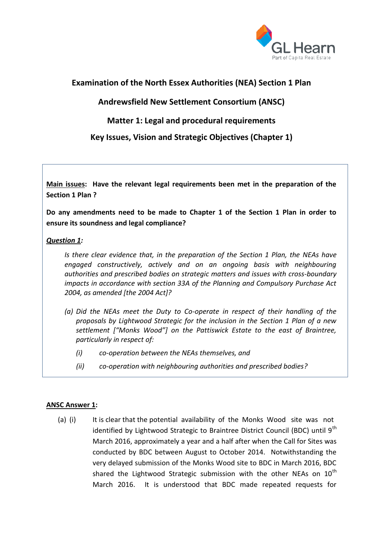

# **Examination of the North Essex Authorities (NEA) Section 1 Plan**

# **Andrewsfield New Settlement Consortium (ANSC)**

# **Matter 1: Legal and procedural requirements**

**Key Issues, Vision and Strategic Objectives (Chapter 1)**

**Main issues: Have the relevant legal requirements been met in the preparation of the Section 1 Plan ?**

**Do any amendments need to be made to Chapter 1 of the Section 1 Plan in order to ensure its soundness and legal compliance?**

## *Question 1:*

*Is there clear evidence that, in the preparation of the Section 1 Plan, the NEAs have engaged constructively, actively and on an ongoing basis with neighbouring authorities and prescribed bodies on strategic matters and issues with cross-boundary impacts in accordance with section 33A of the Planning and Compulsory Purchase Act 2004, as amended [the 2004 Act]?*

- *(a) Did the NEAs meet the Duty to Co-operate in respect of their handling of the proposals by Lightwood Strategic for the inclusion in the Section 1 Plan of a new settlement ["Monks Wood"] on the Pattiswick Estate to the east of Braintree, particularly in respect of:*
	- *(i) co-operation between the NEAs themselves, and*
	- *(ii) co-operation with neighbouring authorities and prescribed bodies?*

## **ANSC Answer 1:**

(a) (i) It is clear that the potential availability of the Monks Wood site was not identified by Lightwood Strategic to Braintree District Council (BDC) until 9<sup>th</sup> March 2016, approximately a year and a half after when the Call for Sites was conducted by BDC between August to October 2014. Notwithstanding the very delayed submission of the Monks Wood site to BDC in March 2016, BDC shared the Lightwood Strategic submission with the other NEAs on  $10^{th}$ March 2016. It is understood that BDC made repeated requests for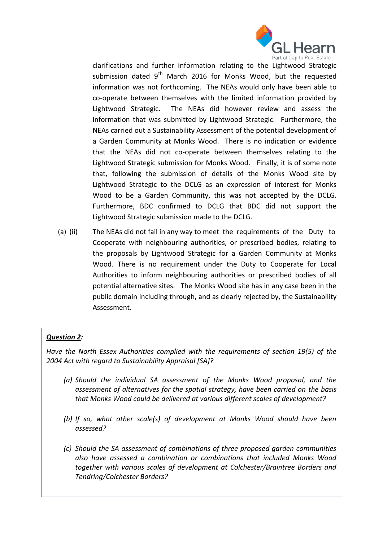

clarifications and further information relating to the Lightwood Strategic submission dated 9<sup>th</sup> March 2016 for Monks Wood, but the requested information was not forthcoming. The NEAs would only have been able to co-operate between themselves with the limited information provided by Lightwood Strategic. The NEAs did however review and assess the information that was submitted by Lightwood Strategic. Furthermore, the NEAs carried out a Sustainability Assessment of the potential development of a Garden Community at Monks Wood. There is no indication or evidence that the NEAs did not co-operate between themselves relating to the Lightwood Strategic submission for Monks Wood. Finally, it is of some note that, following the submission of details of the Monks Wood site by Lightwood Strategic to the DCLG as an expression of interest for Monks Wood to be a Garden Community, this was not accepted by the DCLG. Furthermore, BDC confirmed to DCLG that BDC did not support the Lightwood Strategic submission made to the DCLG.

(a) (ii) The NEAs did not fail in any way to meet the requirements of the Duty to Cooperate with neighbouring authorities, or prescribed bodies, relating to the proposals by Lightwood Strategic for a Garden Community at Monks Wood. There is no requirement under the Duty to Cooperate for Local Authorities to inform neighbouring authorities or prescribed bodies of all potential alternative sites. The Monks Wood site has in any case been in the public domain including through, and as clearly rejected by, the Sustainability Assessment.

## *Question 2:*

*Have the North Essex Authorities complied with the requirements of section 19(5) of the 2004 Act with regard to Sustainability Appraisal [SA]?*

- *(a) Should the individual SA assessment of the Monks Wood proposal, and the assessment of alternatives for the spatial strategy, have been carried on the basis that Monks Wood could be delivered at various different scales of development?*
- *(b) If so, what other scale(s) of development at Monks Wood should have been assessed?*
- *(c) Should the SA assessment of combinations of three proposed garden communities also have assessed a combination or combinations that included Monks Wood together with various scales of development at Colchester/Braintree Borders and Tendring/Colchester Borders?*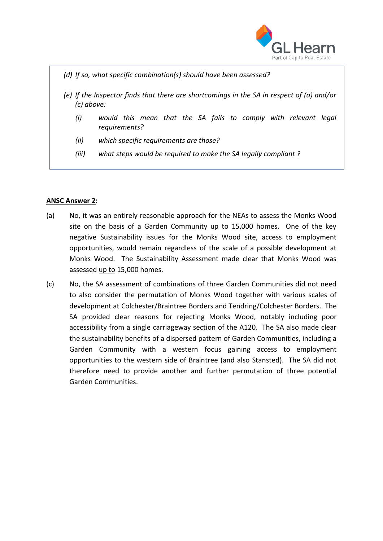

*(d) If so, what specific combination(s) should have been assessed?*

- *(e) If the Inspector finds that there are shortcomings in the SA in respect of (a) and/or (c) above:*
	- *(i) would this mean that the SA fails to comply with relevant legal requirements?*
	- *(ii) which specific requirements are those?*
	- *(iii) what steps would be required to make the SA legally compliant ?*

### **ANSC Answer 2:**

- (a) No, it was an entirely reasonable approach for the NEAs to assess the Monks Wood site on the basis of a Garden Community up to 15,000 homes. One of the key negative Sustainability issues for the Monks Wood site, access to employment opportunities, would remain regardless of the scale of a possible development at Monks Wood. The Sustainability Assessment made clear that Monks Wood was assessed up to 15,000 homes.
- (c) No, the SA assessment of combinations of three Garden Communities did not need to also consider the permutation of Monks Wood together with various scales of development at Colchester/Braintree Borders and Tendring/Colchester Borders. The SA provided clear reasons for rejecting Monks Wood, notably including poor accessibility from a single carriageway section of the A120. The SA also made clear the sustainability benefits of a dispersed pattern of Garden Communities, including a Garden Community with a western focus gaining access to employment opportunities to the western side of Braintree (and also Stansted). The SA did not therefore need to provide another and further permutation of three potential Garden Communities.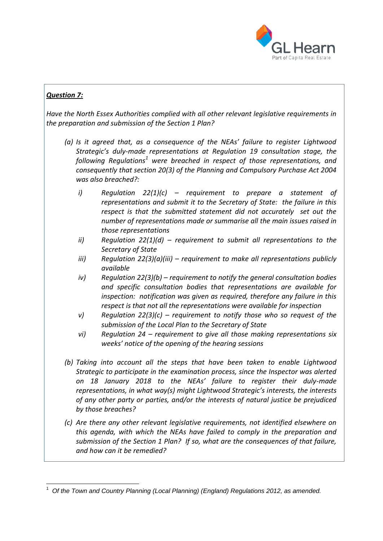

## *Question 7:*

*Have the North Essex Authorities complied with all other relevant legislative requirements in the preparation and submission of the Section 1 Plan?*

- *(a) Is it agreed that, as a consequence of the NEAs' failure to register Lightwood Strategic's duly-made representations at Regulation 19 consultation stage, the following Regulations<sup>1</sup> were breached in respect of those representations, and consequently that section 20(3) of the Planning and Compulsory Purchase Act 2004 was also breached?:*
	- *i) Regulation 22(1)(c) – requirement to prepare a statement of representations and submit it to the Secretary of State: the failure in this respect is that the submitted statement did not accurately set out the number of representations made or summarise all the main issues raised in those representations*
	- *ii) Regulation 22(1)(d) – requirement to submit all representations to the Secretary of State*
	- *iii) Regulation 22(3)(a)(iii) – requirement to make all representations publicly available*
	- *iv) Regulation 22(3)(b) – requirement to notify the general consultation bodies and specific consultation bodies that representations are available for inspection: notification was given as required, therefore any failure in this respect is that not all the representations were available for inspection*
	- *v) Regulation 22(3)(c) – requirement to notify those who so request of the submission of the Local Plan to the Secretary of State*
	- *vi) Regulation 24 – requirement to give all those making representations six weeks' notice of the opening of the hearing sessions*
- *(b) Taking into account all the steps that have been taken to enable Lightwood Strategic to participate in the examination process, since the Inspector was alerted on 18 January 2018 to the NEAs' failure to register their duly-made representations, in what way(s) might Lightwood Strategic's interests, the interests of any other party or parties, and/or the interests of natural justice be prejudiced by those breaches?*
- *(c) Are there any other relevant legislative requirements, not identified elsewhere on this agenda, with which the NEAs have failed to comply in the preparation and submission of the Section 1 Plan? If so, what are the consequences of that failure, and how can it be remedied?*

 $\overline{\phantom{a}}$ 1 *Of the Town and Country Planning (Local Planning) (England) Regulations 2012, as amended.*